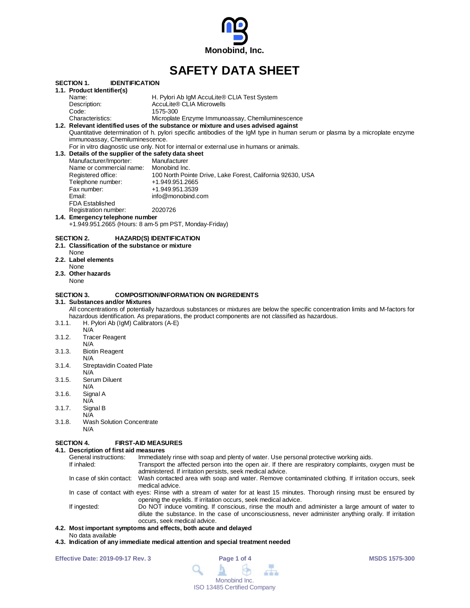

# **SAFETY DATA SHEET**

|        | <b>IDENTIFICATION</b><br><b>SECTION 1.</b>            |                                                                                                                                  |
|--------|-------------------------------------------------------|----------------------------------------------------------------------------------------------------------------------------------|
|        | 1.1. Product Identifier(s)                            |                                                                                                                                  |
|        | Name:                                                 | H. Pylori Ab IgM AccuLite® CLIA Test System                                                                                      |
|        | Description:                                          | AccuLite® CLIA Microwells                                                                                                        |
|        | Code:                                                 | 1575-300                                                                                                                         |
|        | Characteristics:                                      | Microplate Enzyme Immunoassay, Chemiluminescence                                                                                 |
|        |                                                       | 1.2. Relevant identified uses of the substance or mixture and uses advised against                                               |
|        |                                                       | Quantitative determination of h. pylori specific antibodies of the IgM type in human serum or plasma by a microplate enzyme      |
|        | immunoassay, Chemiluminescence.                       |                                                                                                                                  |
|        |                                                       | For in vitro diagnostic use only. Not for internal or external use in humans or animals.                                         |
|        | 1.3. Details of the supplier of the safety data sheet |                                                                                                                                  |
|        | Manufacturer/Importer:                                | Manufacturer                                                                                                                     |
|        | Name or commercial name: Monobind Inc.                |                                                                                                                                  |
|        | Registered office:                                    | 100 North Pointe Drive, Lake Forest, California 92630, USA                                                                       |
|        | Telephone number:                                     | +1.949.951.2665                                                                                                                  |
|        | Fax number:<br>Email:                                 | +1.949.951.3539<br>info@monobind.com                                                                                             |
|        | <b>FDA Established</b>                                |                                                                                                                                  |
|        | Registration number:                                  | 2020726                                                                                                                          |
|        | 1.4. Emergency telephone number                       |                                                                                                                                  |
|        |                                                       | +1.949.951.2665 (Hours: 8 am-5 pm PST, Monday-Friday)                                                                            |
|        |                                                       |                                                                                                                                  |
|        | <b>SECTION 2.</b>                                     | <b>HAZARD(S) IDENTIFICATION</b>                                                                                                  |
|        | 2.1. Classification of the substance or mixture       |                                                                                                                                  |
|        | None                                                  |                                                                                                                                  |
|        | 2.2. Label elements                                   |                                                                                                                                  |
|        | None                                                  |                                                                                                                                  |
|        | 2.3. Other hazards                                    |                                                                                                                                  |
|        | None                                                  |                                                                                                                                  |
|        |                                                       |                                                                                                                                  |
|        | <b>SECTION 3.</b>                                     | <b>COMPOSITION/INFORMATION ON INGREDIENTS</b>                                                                                    |
|        | 3.1. Substances and/or Mixtures                       |                                                                                                                                  |
|        |                                                       | All concentrations of potentially hazardous substances or mixtures are below the specific concentration limits and M-factors for |
|        |                                                       | hazardous identification. As preparations, the product components are not classified as hazardous.                               |
| 3.1.1. | H. Pylori Ab (IgM) Calibrators (A-E)                  |                                                                                                                                  |
|        | N/A                                                   |                                                                                                                                  |
| 3.1.2. | <b>Tracer Reagent</b>                                 |                                                                                                                                  |
| 3.1.3. | N/A<br><b>Biotin Reagent</b>                          |                                                                                                                                  |
|        | N/A                                                   |                                                                                                                                  |
| 3.1.4. | <b>Streptavidin Coated Plate</b>                      |                                                                                                                                  |
|        | N/A                                                   |                                                                                                                                  |
| 3.1.5. | Serum Diluent                                         |                                                                                                                                  |
|        | N/A                                                   |                                                                                                                                  |
| 3.1.6. | Signal A                                              |                                                                                                                                  |
|        | N/A                                                   |                                                                                                                                  |
| 3.1.7. | Signal B                                              |                                                                                                                                  |
|        | N/A                                                   |                                                                                                                                  |
| 3.1.8. | Wash Solution Concentrate                             |                                                                                                                                  |
|        | N/A                                                   |                                                                                                                                  |
|        |                                                       |                                                                                                                                  |
|        | <b>SECTION 4.</b>                                     | <b>FIRST-AID MEASURES</b>                                                                                                        |
|        | 4.1. Description of first aid measures                |                                                                                                                                  |
|        | General instructions:                                 | Immediately rinse with soap and plenty of water. Use personal protective working aids.                                           |
|        | If inhaled:                                           | Transport the affected person into the open air. If there are respiratory complaints, oxygen must be                             |
|        |                                                       | administered. If irritation persists, seek medical advice.                                                                       |
|        | In case of skin contact:                              | Wash contacted area with soap and water. Remove contaminated clothing. If irritation occurs, seek                                |

medical advice.

In case of contact with eyes: Rinse with a stream of water for at least 15 minutes. Thorough rinsing must be ensured by opening the eyelids. If irritation occurs, seek medical advice.

If ingested: Do NOT induce vomiting. If conscious, rinse the mouth and administer a large amount of water to dilute the substance. In the case of unconsciousness, never administer anything orally. If irritation occurs, seek medical advice.

## **4.2. Most important symptoms and effects, both acute and delayed**

- No data available
- **4.3. Indication of any immediate medical attention and special treatment needed**

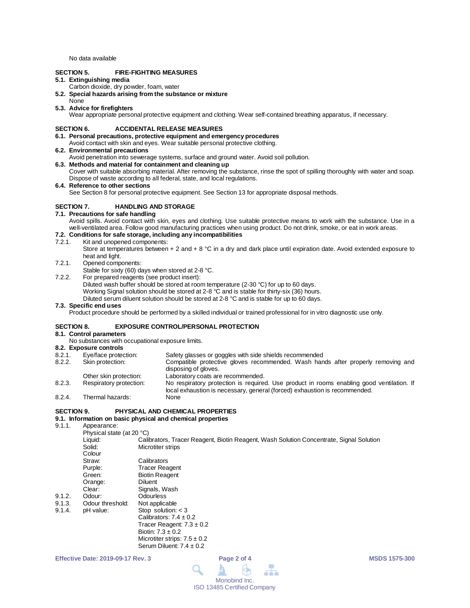No data available

### **SECTION 5. FIRE-FIGHTING MEASURES**

### **5.1. Extinguishing media**

- Carbon dioxide, dry powder, foam, water
- **5.2. Special hazards arising from the substance or mixture**
- None

### **5.3. Advice for firefighters**

Wear appropriate personal protective equipment and clothing. Wear self-contained breathing apparatus, if necessary.

#### **SECTION 6. ACCIDENTAL RELEASE MEASURES**

- **6.1. Personal precautions, protective equipment and emergency procedures** Avoid contact with skin and eyes. Wear suitable personal protective clothing.
- **6.2. Environmental precautions**
- Avoid penetration into sewerage systems, surface and ground water. Avoid soil pollution.
- **6.3. Methods and material for containment and cleaning up**
- Cover with suitable absorbing material. After removing the substance, rinse the spot of spilling thoroughly with water and soap. Dispose of waste according to all federal, state, and local regulations.

#### **6.4. Reference to other sections**

See Section 8 for personal protective equipment. See Section 13 for appropriate disposal methods.

## **SECTION 7. HANDLING AND STORAGE**

#### **7.1. Precautions for safe handling**

Avoid spills. Avoid contact with skin, eyes and clothing. Use suitable protective means to work with the substance. Use in a well-ventilated area. Follow good manufacturing practices when using product. Do not drink, smoke, or eat in work areas.

## **7.2. Conditions for safe storage, including any incompatibilities**

- Kit and unopened components:
	- Store at temperatures between + 2 and + 8 °C in a dry and dark place until expiration date. Avoid extended exposure to heat and light.
- 7.2.1. Opened components:

Stable for sixty (60) days when stored at 2-8 °C.

- 7.2.2. For prepared reagents (see product insert):
	- Diluted wash buffer should be stored at room temperature (2-30 °C) for up to 60 days.
	- Working Signal solution should be stored at 2-8 °C and is stable for thirty-six (36) hours.

Diluted serum diluent solution should be stored at 2-8 °C and is stable for up to 60 days.

#### **7.3. Specific end uses**

Product procedure should be performed by a skilled individual or trained professional for in vitro diagnostic use only.

#### **SECTION 8. EXPOSURE CONTROL/PERSONAL PROTECTION**

## **8.1. Control parameters**

- No substances with occupational exposure limits.
- **8.2. Exposure controls**
- Eye/face protection: Safety glasses or goggles with side shields recommended<br>Skin protection: Compatible protective gloves recommended. Wash han 8.2.2. Skin protection: Compatible protective gloves recommended. Wash hands after properly removing and disposing of gloves.
- Other skin protection:<br>
Respiratory protection: 
No respiratory protection is required 8.2.3. Respiratory protection: No respiratory protection is required. Use product in rooms enabling good ventilation. If local exhaustion is necessary, general (forced) exhaustion is recommended. 8.2.4. Thermal hazards:

#### **SECTION 9. PHYSICAL AND CHEMICAL PROPERTIES**

## **9.1. Information on basic physical and chemical properties**

Appearance:

|        | Physical state (at 20 °C) |                                                                                         |  |  |
|--------|---------------------------|-----------------------------------------------------------------------------------------|--|--|
|        | Liquid:                   | Calibrators, Tracer Reagent, Biotin Reagent, Wash Solution Concentrate, Signal Solution |  |  |
|        | Solid:                    | Microtiter strips                                                                       |  |  |
|        | Colour                    |                                                                                         |  |  |
|        | Straw:                    | Calibrators                                                                             |  |  |
|        | Purple:                   | <b>Tracer Reagent</b>                                                                   |  |  |
|        | Green:                    | <b>Biotin Reagent</b>                                                                   |  |  |
|        | Orange:                   | <b>Diluent</b>                                                                          |  |  |
|        | Clear:                    | Signals, Wash                                                                           |  |  |
| 9.1.2. | Odour:                    | Odourless                                                                               |  |  |
| 9.1.3. | Odour threshold:          | Not applicable                                                                          |  |  |
| 9.1.4. | pH value:                 | Stop solution: $<$ 3                                                                    |  |  |
|        |                           | Calibrators: $7.4 \pm 0.2$                                                              |  |  |
|        |                           | Tracer Reagent: $7.3 \pm 0.2$                                                           |  |  |
|        |                           | Biotin: $7.3 \pm 0.2$                                                                   |  |  |
|        |                           | Microtiter strips: $7.5 \pm 0.2$                                                        |  |  |
|        |                           | Serum Diluent: $7.4 \pm 0.2$                                                            |  |  |

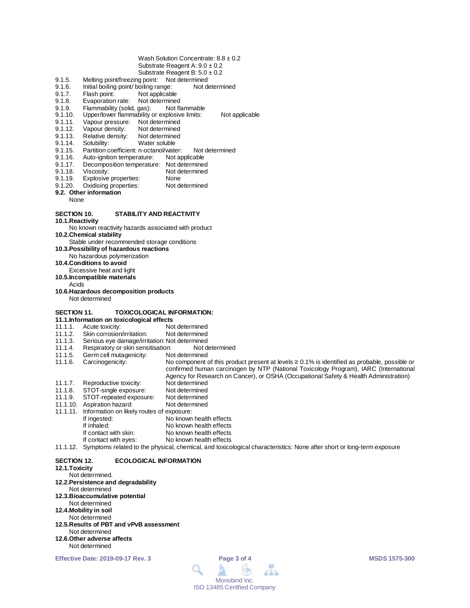- Wash Solution Concentrate:  $8.8 \pm 0.2$ Substrate Reagent A: 9.0 ± 0.2
- Substrate Reagent B:  $5.0 \pm 0.2$
- 9.1.5. Melting point/freezing point: Not determined
- 9.1.6. Initial boiling point/ boiling range: Not determined<br>9.1.7. Flash point: Not applicable
- 9.1.7. Flash point: Not applicable<br>9.1.8. Evaporation rate: Not determine
- 
- 9.1.8. Evaporation rate: Not determined<br>9.1.9. Flammability (solid. gas): Not flammable 9.1.9. Flammability (solid, gas):<br>9.1.10. Upper/lower flammability
- 9.1.10. Upper/lower flammability or explosive limits: Not applicable<br>9.1.11. Vapour pressure: Not determined
- 9.1.11. Vapour pressure: Not determined<br>9.1.12. Vapour density: Not determined
- 9.1.12. Vapour density: Not determined<br>9.1.13. Relative density: Not determined
- 9.1.13. Relative density:<br>9.1.14. Solubility:
- 9.1.14. Solubility: Water soluble<br>9.1.15. Partition coefficient: n-octanol/wate
- 9.1.15. Partition coefficient: n-octanol/water: Not determined<br>9.1.16. Auto-ignition temperature: Not applicable
- 9.1.16. Auto-ignition temperature:<br>9.1.17. Decomposition temperature
- 9.1.17. Decomposition temperature: Not determined<br>9.1.18. Viscosity: Not determined
- 9.1.18. Viscosity: Not determined<br>9.1.19. Explosive properties: None
- 
- 9.1.19. Explosive properties: None<br>9.1.20. Oxidising properties: Not determined Oxidising properties:
- **9.2. Other information** None

#### **SECTION 10. STABILITY AND REACTIVITY**

**10.1.Reactivity**

No known reactivity hazards associated with product

**10.2.Chemical stability**

Stable under recommended storage conditions

- **10.3.Possibility of hazardous reactions**
- No hazardous polymerization
- **10.4.Conditions to avoid**
	- Excessive heat and light

**10.5.Incompatible materials**

- Acids
- **10.6.Hazardous decomposition products** Not determined

## **SECTION 11. TOXICOLOGICAL INFORMATION:**

- **11.1.Information on toxicological effects**
- 11.1.1. Acute toxicity: Not determined<br>11.1.2. Skin corrosion/irritation: Not determined
- 11.1.2. Skin corrosion/irritation:<br>11.1.3. Serious eye damage/irrit
- Serious eye damage/irritation: Not determined<br>Respiratory or skin sensitisation: Not determined
- 11.1.4. Respiratory or skin sensitisation: Not d<br>11.1.5. Germ cell mutagenicity: Not determined
- Germ cell mutagenicity:
- 11.1.6. Carcinogenicity: No component of this product present at levels ≥ 0.1% is identified as probable, possible or confirmed human carcinogen by NTP (National Toxicology Program), IARC (International Agency for Research on Cancer), or OSHA (Occupational Safety & Health Administration) 11.1.7. Reproductive toxicity: Not determined<br>11.1.8. STOT-single exposure: Not determined
- 
- 11.1.8. STOT-single exposure: Not determined<br>11.1.9. STOT-repeated exposure: Not determined STOT-repeated exposure: Not determined<br>Aspiration hazard: Not determined
- 11.1.10. Aspiration hazard:
- 11.1.11. Information on likely routes of exposure:
- If ingested: No known health effects<br>
If inhaled: No known health effects If inhaled: No known health effects<br>If contact with skin: No known health effects If contact with skin: No known health effects<br>If contact with eyes: No known health effects
	- No known health effects
- 11.1.12. Symptoms related to the physical, chemical, and toxicological characteristics: None after short or long-term exposure

#### **SECTION 12. ECOLOGICAL INFORMATION**

## **12.1.Toxicity**

- Not determined. **12.2.Persistence and degradability** Not determined **12.3.Bioaccumulative potential** Not determined **12.4.Mobility in soil** Not determined **12.5.Results of PBT and vPvB assessment** Not determined **12.6.Other adverse affects**
- Not determined

**Effective Date: 2019-09-17 Rev. 3 Page 3 of 4 MSDS 1575-300**